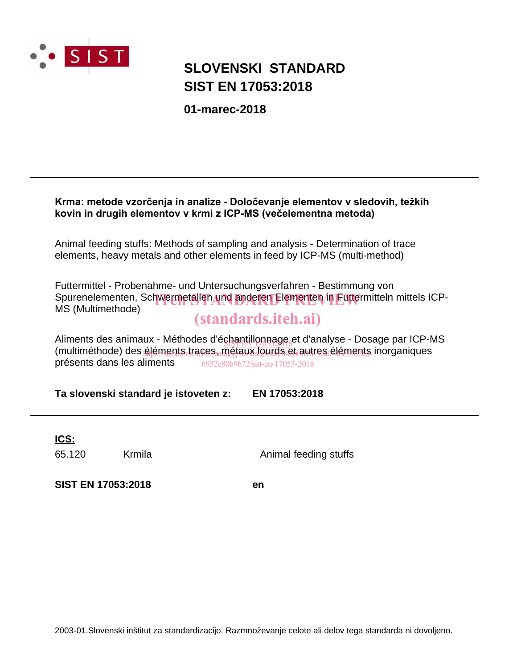

## **SIST EN 17053:2018 SLOVENSKI STANDARD**

**01-marec-2018**

## Krma: metode vzorčenja in analize - Določevanje elementov v sledovih, težkih kovin in drugih elementov v krmi z ICP-MS (večelementna metoda)

Animal feeding stuffs: Methods of sampling and analysis - Determination of trace elements, heavy metals and other elements in feed by ICP-MS (multi-method)

Futtermittel - Probenahme- und Untersuchungsverfahren - Bestimmung von Spurenelementen, Schwermetallen und anderen Elementen in Futtermitteln mittels ICP-<br>MS (Multimethode) MS (Multimethode)

## (standards.iteh.ai)

Aliments des animaux - Méthodes d'échantillonnage et d'analyse - Dosage par ICP-MS (multiméthode) des <u>éléments traces, métaux lourds et autres éléments</u> inorganiques présents dans les aliments 6932c80b9672/sist-en-17053-2018

**Ta slovenski standard je istoveten z: EN 17053:2018**

**ICS:**

65.120 Krmila Animal feeding stuffs

**SIST EN 17053:2018 en**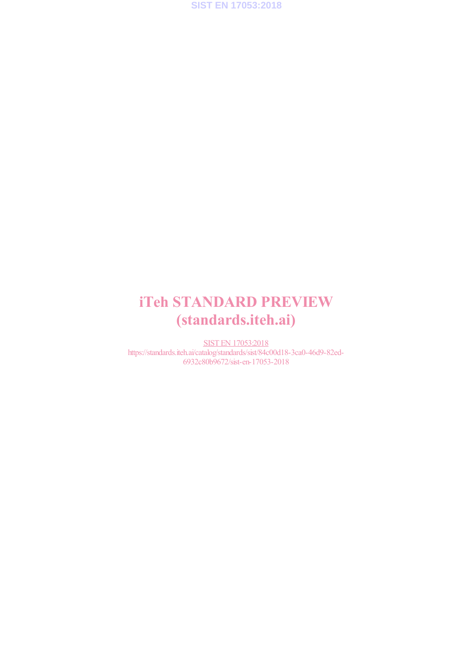

## iTeh STANDARD PREVIEW (standards.iteh.ai)

SIST EN 17053:2018 https://standards.iteh.ai/catalog/standards/sist/84c00d18-3ca0-46d9-82ed-6932c80b9672/sist-en-17053-2018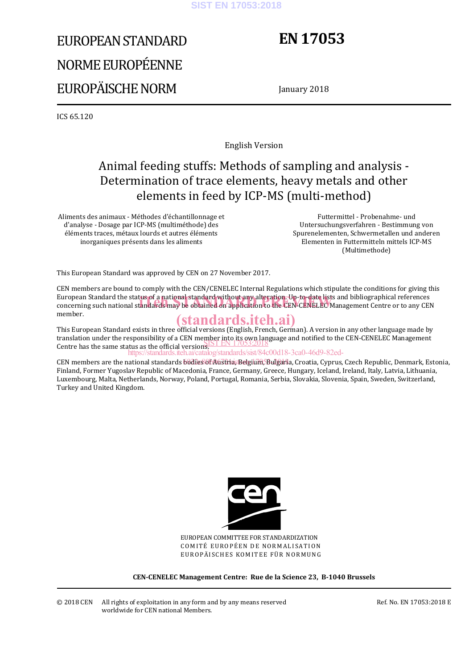#### **SIST EN 17053:2018**

# EUROPEAN STANDARD NORME EUROPÉENNE EUROPÄISCHE NORM

## **EN 17053**

January 2018

ICS 65.120

English Version

## Animal feeding stuffs: Methods of sampling and analysis - Determination of trace elements, heavy metals and other elements in feed by ICP-MS (multi-method)

Aliments des animaux - Méthodes d'échantillonnage et d'analyse - Dosage par ICP-MS (multiméthode) des éléments traces, métaux lourds et autres éléments inorganiques présents dans les aliments

 Futtermittel - Probenahme- und Untersuchungsverfahren - Bestimmung von Spurenelementen, Schwermetallen und anderen Elementen in Futtermitteln mittels ICP-MS (Multimethode)

This European Standard was approved by CEN on 27 November 2017.

CEN members are bound to comply with the CEN/CENELEC Internal Regulations which stipulate the conditions for giving this European Standard the status of a national standard without any alteration. Up-to-date lists and bibliographical references European Standard the status of a national standard without any alteration. Up-to-date lists and bibliographical references<br>concerning such national standards may be obtained on application to the CEN-CENELEC Management Ce member.

## (standards.iteh.ai)

This European Standard exists in three official versions (English, French, German). A version in any other language made by translation under the responsibility of a CEN member into its own language and notified to the CEN-CENELEC Management<br>Centre has the same status as the official versions SLEN 17053:2018 Centre has the same status as the official versions. https://standards/sist/84c00d18-3ca0-46d9-82ed-

CEN members are the national standards bodies of Austria, Belgium, Bulgaria, Croatia, Cyprus, Czech Republic, Denmark, Estonia, Finland, Former Yugoslav Republic of Macedonia, France, Germany, Greece, Hungary, Iceland, Ireland, Italy, Latvia, Lithuania, Luxembourg, Malta, Netherlands, Norway, Poland, Portugal, Romania, Serbia, Slovakia, Slovenia, Spain, Sweden, Switzerland, Turkey and United Kingdom.



EUROPEAN COMMITTEE FOR STANDARDIZATION COMITÉ EUROPÉEN DE NORMALISATION EUROPÄISCHES KOMITEE FÜR NORMUNG

**CEN-CENELEC Management Centre: Rue de la Science 23, B-1040 Brussels**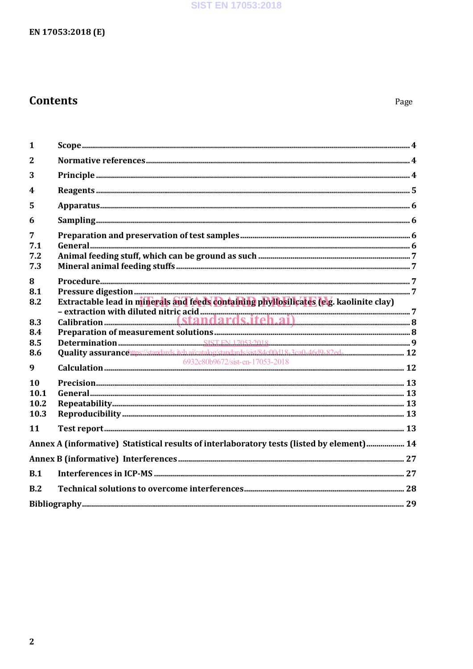## **SIST EN 17053:2018**

## EN 17053:2018 (E)

## **Contents**

| $\mathbf{1}$           |                                                                                               |  |  |  |
|------------------------|-----------------------------------------------------------------------------------------------|--|--|--|
| $\overline{2}$         |                                                                                               |  |  |  |
| 3                      |                                                                                               |  |  |  |
| $\boldsymbol{4}$       |                                                                                               |  |  |  |
| 5                      |                                                                                               |  |  |  |
| 6                      |                                                                                               |  |  |  |
| 7<br>7.1<br>7.2<br>7.3 |                                                                                               |  |  |  |
| 8<br>8.1<br>8.2        | Extractable lead in minerals and feeds containing phyllosilicates (e.g. kaolinite clay)       |  |  |  |
| 8.3                    |                                                                                               |  |  |  |
| 8.4                    |                                                                                               |  |  |  |
| 8.5<br>8.6             | Ouality assurance ttps://standards.itch.ai/catalog/standards/sist/84c00d18-3ca0-46d9-82ed- 12 |  |  |  |
| 9                      | G932c80b9672/sist-en-17053-2018                                                               |  |  |  |
| 10                     |                                                                                               |  |  |  |
| 10.1                   |                                                                                               |  |  |  |
| 10.2<br>10.3           |                                                                                               |  |  |  |
| 11                     |                                                                                               |  |  |  |
|                        | Annex A (informative) Statistical results of interlaboratory tests (listed by element) 14     |  |  |  |
|                        |                                                                                               |  |  |  |
| B.1                    |                                                                                               |  |  |  |
| B.2                    |                                                                                               |  |  |  |
|                        |                                                                                               |  |  |  |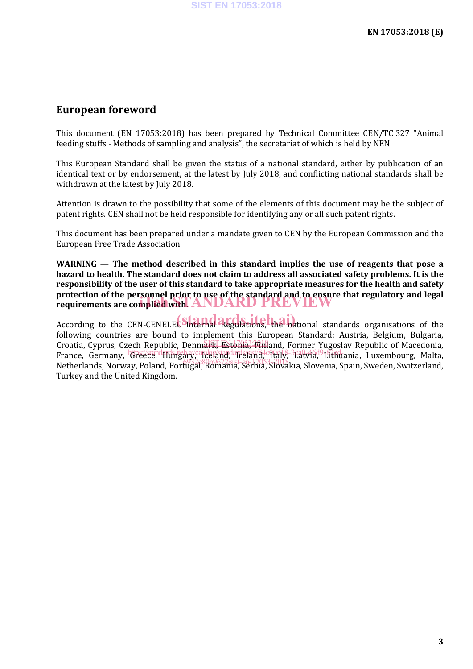## **European foreword**

This document (EN 17053:2018) has been prepared by Technical Committee CEN/TC 327 "Animal feeding stuffs - Methods of sampling and analysis", the secretariat of which is held by NEN.

This European Standard shall be given the status of a national standard, either by publication of an identical text or by endorsement, at the latest by July 2018, and conflicting national standards shall be withdrawn at the latest by July 2018.

Attention is drawn to the possibility that some of the elements of this document may be the subject of patent rights. CEN shall not be held responsible for identifying any or all such patent rights.

This document has been prepared under a mandate given to CEN by the European Commission and the European Free Trade Association.

**WARNING — The method described in this standard implies the use of reagents that pose a hazard to health. The standard does not claim to address all associated safety problems. It is the responsibility of the user of this standard to take appropriate measures for the health and safety protection of the personnel prior to use of the standard and to ensure that regulatory and legal**  protection of the personnel prior to use of the standard and to ensure<br>requirements are complied with. ANDARD PREVIEW

According to the CEN-CENELEC Standard Regulations, the national standards organisations of the following countries are bound to implement this European Standard: Austria, Belgium, Bulgaria, Croatia, Cyprus, Czech Republic, Denmark, Estonia, Finland, Former Yugoslav Republic of Macedonia, France, Germany, Greece, Hungary, Island, Ireland, Ireland, India, Italy, India, Luxembourg, Malta, names, Sermany, Sreel, Tangary, Spain, Spain, Spain, Spain, Sawita, Showanna, Spain, Sweden, Switzerland, Norway, Poland, Portugal, Romania, Serbia, Slovakia, Slovenia, Spain, Sweden, Switzerland, Turkey and the United Kingdom.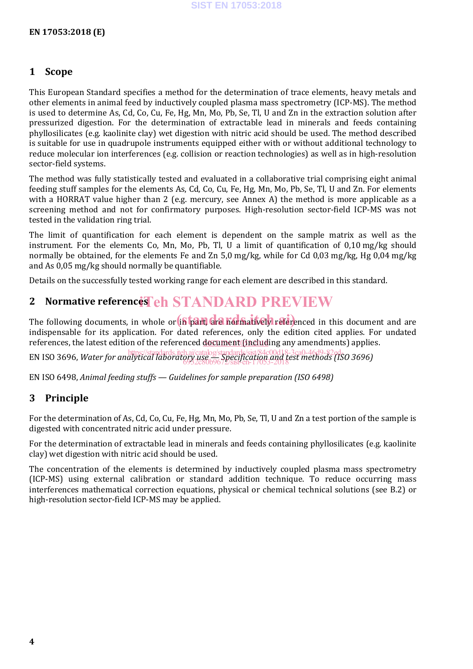## **1 Scope**

This European Standard specifies a method for the determination of trace elements, heavy metals and other elements in animal feed by inductively coupled plasma mass spectrometry (ICP-MS). The method is used to determine As, Cd, Co, Cu, Fe, Hg, Mn, Mo, Pb, Se, Tl, U and Zn in the extraction solution after pressurized digestion. For the determination of extractable lead in minerals and feeds containing phyllosilicates (e.g. kaolinite clay) wet digestion with nitric acid should be used. The method described is suitable for use in quadrupole instruments equipped either with or without additional technology to reduce molecular ion interferences (e.g. collision or reaction technologies) as well as in high-resolution sector-field systems.

The method was fully statistically tested and evaluated in a collaborative trial comprising eight animal feeding stuff samples for the elements As, Cd, Co, Cu, Fe, Hg, Mn, Mo, Pb, Se, Tl, U and Zn. For elements with a HORRAT value higher than 2 (e.g. mercury, see Annex A) the method is more applicable as a screening method and not for confirmatory purposes. High-resolution sector-field ICP-MS was not tested in the validation ring trial.

The limit of quantification for each element is dependent on the sample matrix as well as the instrument. For the elements Co, Mn, Mo, Pb, Tl, U a limit of quantification of 0,10 mg/kg should normally be obtained, for the elements Fe and Zn 5,0 mg/kg, while for Cd 0,03 mg/kg, Hg 0,04 mg/kg and As 0,05 mg/kg should normally be quantifiable.

Details on the successfully tested working range for each element are described in this standard.

## **2** Normative references **Teh STANDARD PREVIEW**

The following documents, in whole or (in part) are normatively referenced in this document and are indispensable for its application. For dated references, only the edition cited applies. For undated references, the latest edition of the referenced <u>document(fnclud</u>ing any amendments) applies.

EN ISO 3696, *Water for analytical laboratory use — Specification and test methods (ISO 3696)* https://standards.iteh.ai/catalog/standards/sist/84c00d18-3ca0-46d9-82ed-6932c80b9672/sist-en-17053-2018

EN ISO 6498, *Animal feeding stuffs — Guidelines for sample preparation (ISO 6498)*

## **3 Principle**

For the determination of As, Cd, Co, Cu, Fe, Hg, Mn, Mo, Pb, Se, Tl, U and Zn a test portion of the sample is digested with concentrated nitric acid under pressure.

For the determination of extractable lead in minerals and feeds containing phyllosilicates (e.g. kaolinite clay) wet digestion with nitric acid should be used.

The concentration of the elements is determined by inductively coupled plasma mass spectrometry (ICP-MS) using external calibration or standard addition technique. To reduce occurring mass interferences mathematical correction equations, physical or chemical technical solutions (see B.2) or high-resolution sector-field ICP-MS may be applied.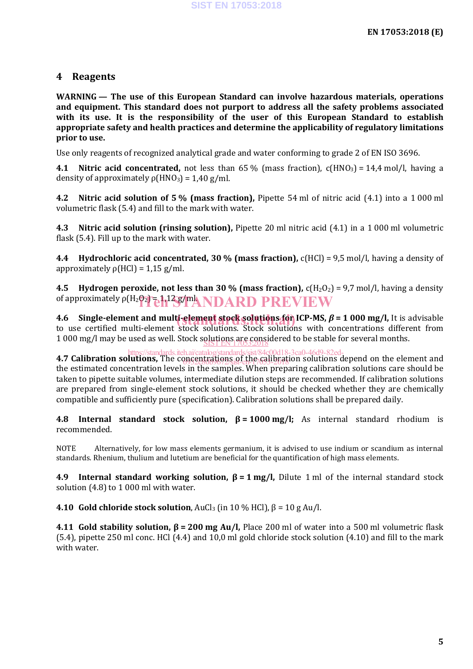## **4 Reagents**

**WARNING — The use of this European Standard can involve hazardous materials, operations and equipment. This standard does not purport to address all the safety problems associated with its use. It is the responsibility of the user of this European Standard to establish appropriate safety and health practices and determine the applicability of regulatory limitations prior to use.**

Use only reagents of recognized analytical grade and water conforming to grade 2 of EN ISO 3696.

**4.1 Nitric acid concentrated,** not less than  $65\%$  (mass fraction),  $c(HNO<sub>3</sub>) = 14,4$  mol/l, having a density of approximately  $\rho(HNO_3) = 1,40$  g/ml.

**4.2 Nitric acid solution of 5 % (mass fraction),** Pipette 54 ml of nitric acid (4.1) into a 1 000 ml volumetric flask (5.4) and fill to the mark with water.

**4.3 Nitric acid solution (rinsing solution),** Pipette 20 ml nitric acid (4.1) in a 1 000 ml volumetric flask (5.4). Fill up to the mark with water.

**4.4 Hydrochloric acid concentrated, 30 % (mass fraction),** c(HCl) = 9,5 mol/l, having a density of approximately  $\rho(HCl) = 1.15$  g/ml.

**4.5 Hydrogen peroxide, not less than 30 % (mass fraction),**  $c(H_2O_2) = 9.7$  mol/l, having a density of approximately ρ(H<sub>2</sub>O<sub>2</sub>) = 1,12 g/m**ANDARD PREVIEW** 

**4.6 Single-element and multi-element stock solutions for ICP-MS,**  $\beta$  **= 1 000 mg/l, It is advisable to use certified multi-element stock solutions. Stock solutions with concentrations different from** to use certified multi-element stock solutions. Stock solutions with concentrations different from 1 000 mg/l may be used as well. Stock solutions are considered to be stable for several months. SIST EN 17053:2018

https://standards.iteh.ai/catalog/standards/sist/84c00d18-3ca0-46d9-82ed-<br>**4.7 Calibration solutions,** The concentrations of the calibration solutions depend on the element and the estimated concentration levels in the samples. When preparing calibration solutions care should be taken to pipette suitable volumes, intermediate dilution steps are recommended. If calibration solutions are prepared from single-element stock solutions, it should be checked whether they are chemically compatible and sufficiently pure (specification). Calibration solutions shall be prepared daily. 6932c80b9672/sist-en-17053-2018

**4.8 Internal standard stock solution, β = 1000 mg/l;** As internal standard rhodium is recommended.

NOTE Alternatively, for low mass elements germanium, it is advised to use indium or scandium as internal standards. Rhenium, thulium and lutetium are beneficial for the quantification of high mass elements.

**4.9 Internal standard working solution, β = 1 mg/l,** Dilute 1 ml of the internal standard stock solution (4.8) to 1 000 ml with water.

**4.10 Gold chloride stock solution**,  $AuCl_3$  (in 10 % HCl),  $\beta = 10$  g Au/l.

**4.11 Gold stability solution, β = 200 mg Au/l,** Place 200 ml of water into a 500 ml volumetric flask (5.4), pipette 250 ml conc. HCl (4.4) and 10,0 ml gold chloride stock solution (4.10) and fill to the mark with water.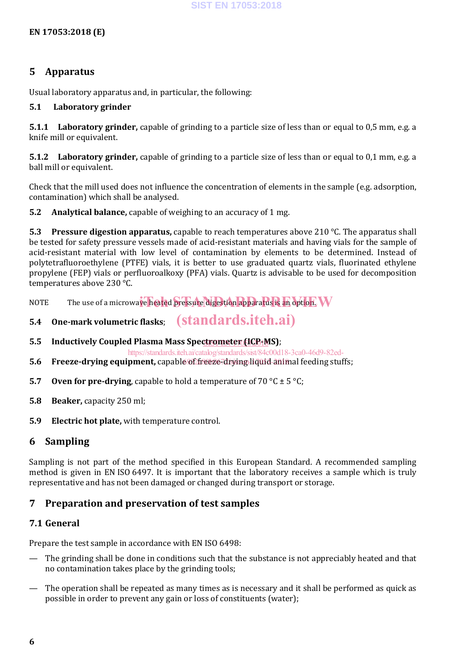## **5 Apparatus**

Usual laboratory apparatus and, in particular, the following:

### **5.1 Laboratory grinder**

**5.1.1 Laboratory grinder,** capable of grinding to a particle size of less than or equal to 0,5 mm, e.g. a knife mill or equivalent.

**5.1.2 Laboratory grinder,** capable of grinding to a particle size of less than or equal to 0,1 mm, e.g. a ball mill or equivalent.

Check that the mill used does not influence the concentration of elements in the sample (e.g. adsorption, contamination) which shall be analysed.

**5.2 Analytical balance,** capable of weighing to an accuracy of 1 mg.

**5.3 Pressure digestion apparatus,** capable to reach temperatures above 210 °C. The apparatus shall be tested for safety pressure vessels made of acid-resistant materials and having vials for the sample of acid-resistant material with low level of contamination by elements to be determined. Instead of polytetrafluoroethylene (PTFE) vials, it is better to use graduated quartz vials, fluorinated ethylene propylene (FEP) vials or perfluoroalkoxy (PFA) vials. Quartz is advisable to be used for decomposition temperatures above 230 °C.

NOTE The use of a microwave heated pressure digestion apparatus is an option.  $\bf W$ 

## **5.4 One-mark volumetric flasks**; (standards.iteh.ai)

5.5 Inductively Coupled Plasma Mass Spec<u>trometen(ICP<sub>i</sub>M</u>S);

https://standards.iteh.ai/catalog/standards/sist/84c00d18-3ca0-46d9-82ed-

- **5.6 Freeze-drying equipment,** capable of freeze-drying liquid animal feeding stuffs;
- **5.7 Oven for pre-drying**, capable to hold a temperature of 70 °C  $\pm$  5 °C;
- **5.8 Beaker,** capacity 250 ml;
- **5.9 Electric hot plate,** with temperature control.

## **6 Sampling**

Sampling is not part of the method specified in this European Standard. A recommended sampling method is given in EN ISO 6497. It is important that the laboratory receives a sample which is truly representative and has not been damaged or changed during transport or storage.

## **7 Preparation and preservation of test samples**

### **7.1 General**

Prepare the test sample in accordance with EN ISO 6498:

- The grinding shall be done in conditions such that the substance is not appreciably heated and that no contamination takes place by the grinding tools;
- The operation shall be repeated as many times as is necessary and it shall be performed as quick as possible in order to prevent any gain or loss of constituents (water);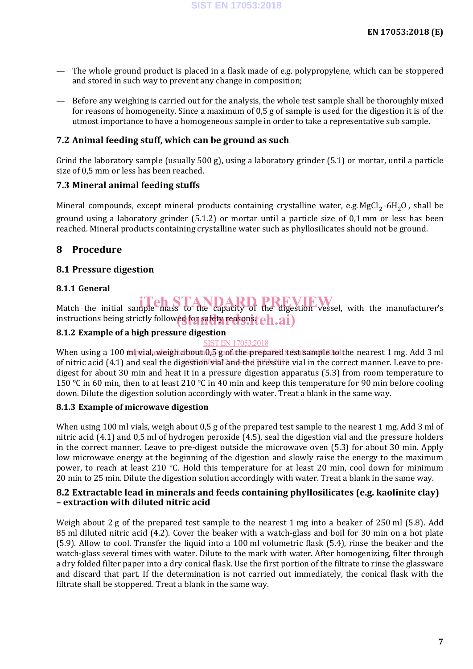- The whole ground product is placed in a flask made of e.g. polypropylene, which can be stoppered and stored in such way to prevent any change in composition;
- Before any weighing is carried out for the analysis, the whole test sample shall be thoroughly mixed for reasons of homogeneity. Since a maximum of 0,5 g of sample is used for the digestion it is of the utmost importance to have a homogeneous sample in order to take a representative sub sample.

### **7.2 Animal feeding stuff, which can be ground as such**

Grind the laboratory sample (usually 500 g), using a laboratory grinder (5.1) or mortar, until a particle size of 0,5 mm or less has been reached.

### **7.3 Mineral animal feeding stuffs**

Mineral compounds, except mineral products containing crystalline water, e.g. MgCl<sub>2</sub>  $\cdot$  6H<sub>2</sub>O, shall be ground using a laboratory grinder (5.1.2) or mortar until a particle size of 0,1 mm or less has been reached. Mineral products containing crystalline water such as phyllosilicates should not be ground.

## **8 Procedure**

### **8.1 Pressure digestion**

### **8.1.1 General**

## Match the initial sample mass to the capacity of the digestion vessel, with the manufacturer's instructions being strictly followed for safety reasonsteh.ai)

### **8.1.2 Example of a high pressure digestion**

### SIST EN 17053:2018

When using a 100 mlpvial, weigh about 0,5 g of the prepared test sample to the nearest 1 mg. Add 3 ml of nitric acid (4.1) and seal the digestion wial and the pressure vial in the correct manner. Leave to predigest for about 30 min and heat it in a pressure digestion apparatus (5.3) from room temperature to 150 °C in 60 min, then to at least 210 °C in 40 min and keep this temperature for 90 min before cooling down. Dilute the digestion solution accordingly with water. Treat a blank in the same way.

#### **8.1.3 Example of microwave digestion**

When using 100 ml vials, weigh about 0,5 g of the prepared test sample to the nearest 1 mg. Add 3 ml of nitric acid (4.1) and 0,5 ml of hydrogen peroxide (4.5), seal the digestion vial and the pressure holders in the correct manner. Leave to pre-digest outside the microwave oven (5.3) for about 30 min. Apply low microwave energy at the beginning of the digestion and slowly raise the energy to the maximum power, to reach at least 210 °C. Hold this temperature for at least 20 min, cool down for minimum 20 min to 25 min. Dilute the digestion solution accordingly with water. Treat a blank in the same way.

### **8.2 Extractable lead in minerals and feeds containing phyllosilicates (e.g. kaolinite clay) – extraction with diluted nitric acid**

Weigh about 2 g of the prepared test sample to the nearest 1 mg into a beaker of 250 ml (5.8). Add 85 ml diluted nitric acid (4.2). Cover the beaker with a watch-glass and boil for 30 min on a hot plate (5.9). Allow to cool. Transfer the liquid into a 100 ml volumetric flask (5.4), rinse the beaker and the watch-glass several times with water. Dilute to the mark with water. After homogenizing, filter through a dry folded filter paper into a dry conical flask. Use the first portion of the filtrate to rinse the glassware and discard that part. If the determination is not carried out immediately, the conical flask with the filtrate shall be stoppered. Treat a blank in the same way.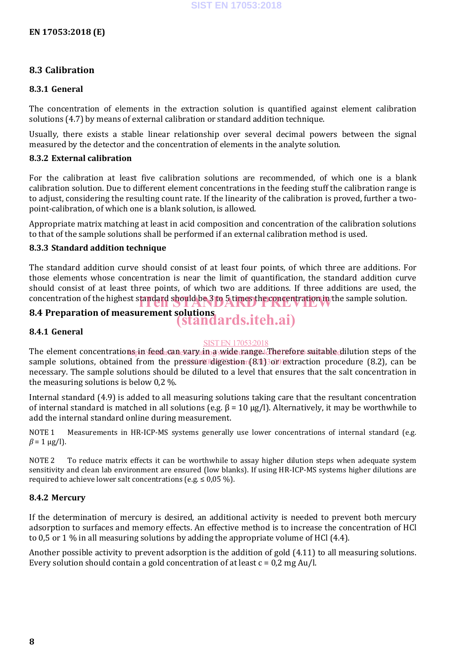### **8.3 Calibration**

#### **8.3.1 General**

The concentration of elements in the extraction solution is quantified against element calibration solutions (4.7) by means of external calibration or standard addition technique.

Usually, there exists a stable linear relationship over several decimal powers between the signal measured by the detector and the concentration of elements in the analyte solution.

#### **8.3.2 External calibration**

For the calibration at least five calibration solutions are recommended, of which one is a blank calibration solution. Due to different element concentrations in the feeding stuff the calibration range is to adjust, considering the resulting count rate. If the linearity of the calibration is proved, further a twopoint-calibration, of which one is a blank solution, is allowed.

Appropriate matrix matching at least in acid composition and concentration of the calibration solutions to that of the sample solutions shall be performed if an external calibration method is used.

#### **8.3.3 Standard addition technique**

The standard addition curve should consist of at least four points, of which three are additions. For those elements whose concentration is near the limit of quantification, the standard addition curve should consist of at least three points, of which two are additions. If three additions are used, the concentration of the highest standard should be 3 to 5 times the concentration in the sample solution.

# **8.4 Preparation of measurement solutions** (standards.iteh.ai)

#### **8.4.1 General**

#### SIST EN 17053:2018

The element concentrations<sub>P</sub>in/steed can vary in g wide range. Therefore suitable dilution steps of the sample solutions, obtained from the pressure digestion (871)300 extraction procedure (8.2), can be necessary. The sample solutions should be diluted to a level that ensures that the salt concentration in the measuring solutions is below 0,2 %.

Internal standard (4.9) is added to all measuring solutions taking care that the resultant concentration of internal standard is matched in all solutions (e.g.  $\beta = 10 \text{ µg/l}$ ). Alternatively, it may be worthwhile to add the internal standard online during measurement.

NOTE 1 Measurements in HR-ICP-MS systems generally use lower concentrations of internal standard (e.g.  $β = 1 μg/l$ ).

NOTE 2 To reduce matrix effects it can be worthwhile to assay higher dilution steps when adequate system sensitivity and clean lab environment are ensured (low blanks). If using HR-ICP-MS systems higher dilutions are required to achieve lower salt concentrations (e.g.  $\leq 0.05\%$ ).

#### **8.4.2 Mercury**

If the determination of mercury is desired, an additional activity is needed to prevent both mercury adsorption to surfaces and memory effects. An effective method is to increase the concentration of HCl to 0,5 or 1 % in all measuring solutions by adding the appropriate volume of HCl (4.4).

Another possible activity to prevent adsorption is the addition of gold (4.11) to all measuring solutions. Every solution should contain a gold concentration of at least  $c = 0.2$  mg Au/l.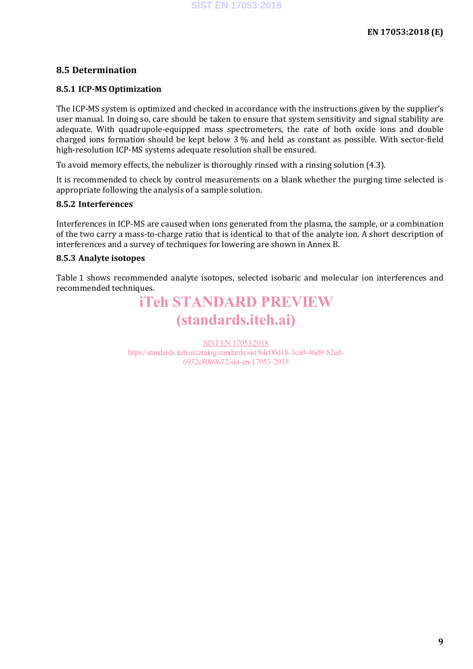### **8.5 Determination**

#### **8.5.1 ICP-MS Optimization**

The ICP-MS system is optimized and checked in accordance with the instructions given by the supplier's user manual. In doing so, care should be taken to ensure that system sensitivity and signal stability are adequate. With quadrupole-equipped mass spectrometers, the rate of both oxide ions and double charged ions formation should be kept below 3 % and held as constant as possible. With sector-field high-resolution ICP-MS systems adequate resolution shall be ensured.

To avoid memory effects, the nebulizer is thoroughly rinsed with a rinsing solution (4.3).

It is recommended to check by control measurements on a blank whether the purging time selected is appropriate following the analysis of a sample solution.

#### **8.5.2 Interferences**

Interferences in ICP-MS are caused when ions generated from the plasma, the sample, or a combination of the two carry a mass-to-charge ratio that is identical to that of the analyte ion. A short description of interferences and a survey of techniques for lowering are shown in Annex B.

#### **8.5.3 Analyte isotopes**

Table 1 shows recommended analyte isotopes, selected isobaric and molecular ion interferences and recommended techniques.

## iTeh STANDARD PREVIEW (standards.iteh.ai)

SIST EN 17053:2018 https://standards.iteh.ai/catalog/standards/sist/84c00d18-3ca0-46d9-82ed-6932c80b9672/sist-en-17053-2018